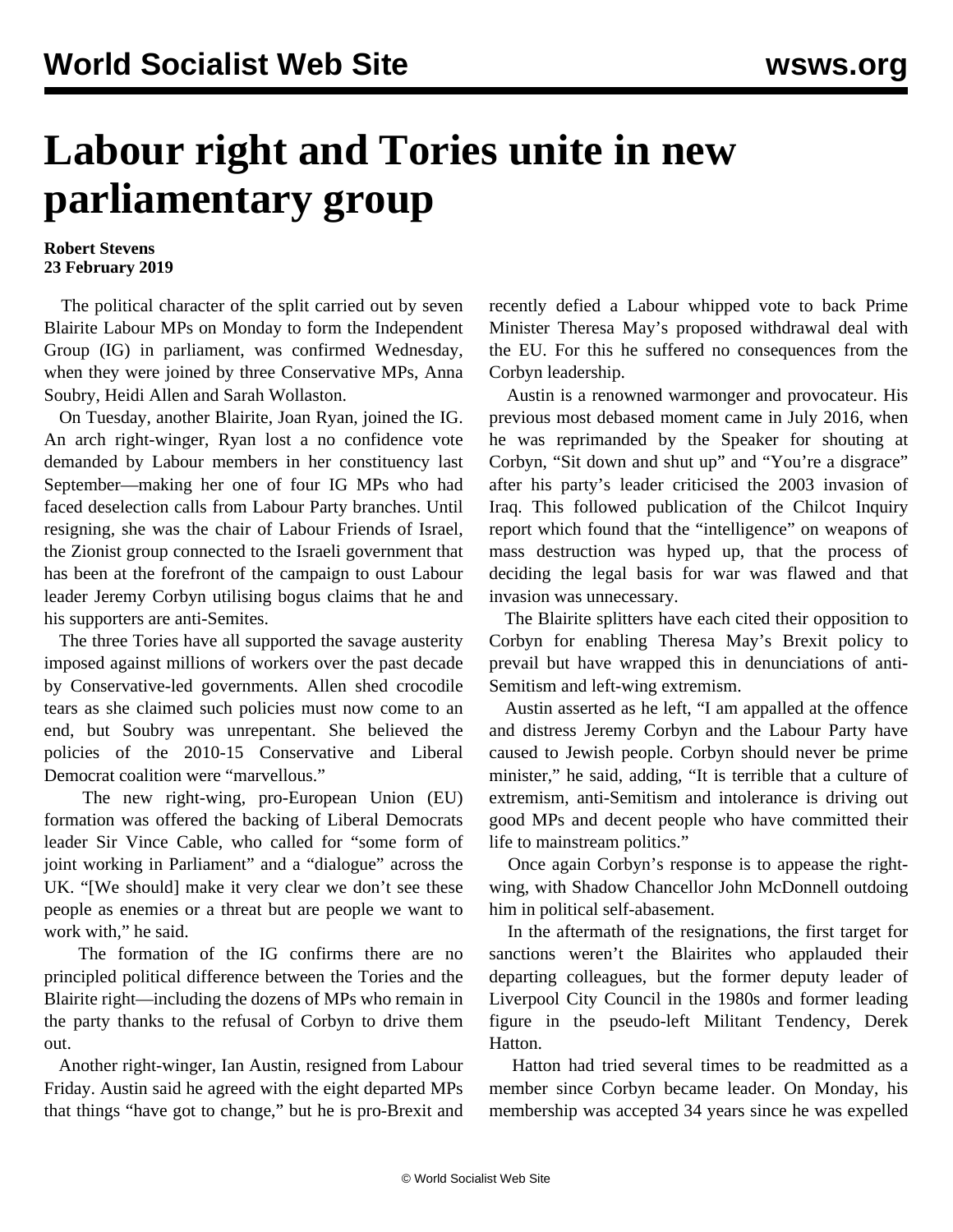## **Labour right and Tories unite in new parliamentary group**

## **Robert Stevens 23 February 2019**

 The political character of the split carried out by seven Blairite Labour MPs on Monday to form the Independent Group (IG) in parliament, was confirmed Wednesday, when they were joined by three Conservative MPs, Anna Soubry, Heidi Allen and Sarah Wollaston.

 On Tuesday, another Blairite, Joan Ryan, joined the IG. An arch right-winger, Ryan lost a no confidence vote demanded by Labour members in her constituency last September—making her one of four IG MPs who had faced deselection calls from Labour Party branches. Until resigning, she was the chair of Labour Friends of Israel, the Zionist group connected to the Israeli government that has been at the forefront of the campaign to oust Labour leader Jeremy Corbyn utilising bogus claims that he and his supporters are anti-Semites.

 The three Tories have all supported the savage austerity imposed against millions of workers over the past decade by Conservative-led governments. Allen shed crocodile tears as she claimed such policies must now come to an end, but Soubry was unrepentant. She believed the policies of the 2010-15 Conservative and Liberal Democrat coalition were "marvellous."

 The new right-wing, pro-European Union (EU) formation was offered the backing of Liberal Democrats leader Sir Vince Cable, who called for "some form of joint working in Parliament" and a "dialogue" across the UK. "[We should] make it very clear we don't see these people as enemies or a threat but are people we want to work with," he said.

 The formation of the IG confirms there are no principled political difference between the Tories and the Blairite right—including the dozens of MPs who remain in the party thanks to the refusal of Corbyn to drive them out.

 Another right-winger, Ian Austin, resigned from Labour Friday. Austin said he agreed with the eight departed MPs that things "have got to change," but he is pro-Brexit and recently defied a Labour whipped vote to back Prime Minister Theresa May's proposed withdrawal deal with the EU. For this he suffered no consequences from the Corbyn leadership.

 Austin is a renowned warmonger and provocateur. His previous most debased moment came in July 2016, when he was reprimanded by the Speaker for shouting at Corbyn, "Sit down and shut up" and "You're a disgrace" after his party's leader criticised the 2003 invasion of Iraq. This followed publication of the Chilcot Inquiry report which found that the "intelligence" on weapons of mass destruction was hyped up, that the process of deciding the legal basis for war was flawed and that invasion was unnecessary.

 The Blairite splitters have each cited their opposition to Corbyn for enabling Theresa May's Brexit policy to prevail but have wrapped this in denunciations of anti-Semitism and left-wing extremism.

 Austin asserted as he left, "I am appalled at the offence and distress Jeremy Corbyn and the Labour Party have caused to Jewish people. Corbyn should never be prime minister," he said, adding, "It is terrible that a culture of extremism, anti-Semitism and intolerance is driving out good MPs and decent people who have committed their life to mainstream politics."

 Once again Corbyn's response is to appease the rightwing, with Shadow Chancellor John McDonnell outdoing him in political self-abasement.

 In the aftermath of the resignations, the first target for sanctions weren't the Blairites who applauded their departing colleagues, but the former deputy leader of Liverpool City Council in the 1980s and former leading figure in the pseudo-left Militant Tendency, Derek Hatton.

 Hatton had tried several times to be readmitted as a member since Corbyn became leader. On Monday, his membership was accepted 34 years since he was expelled